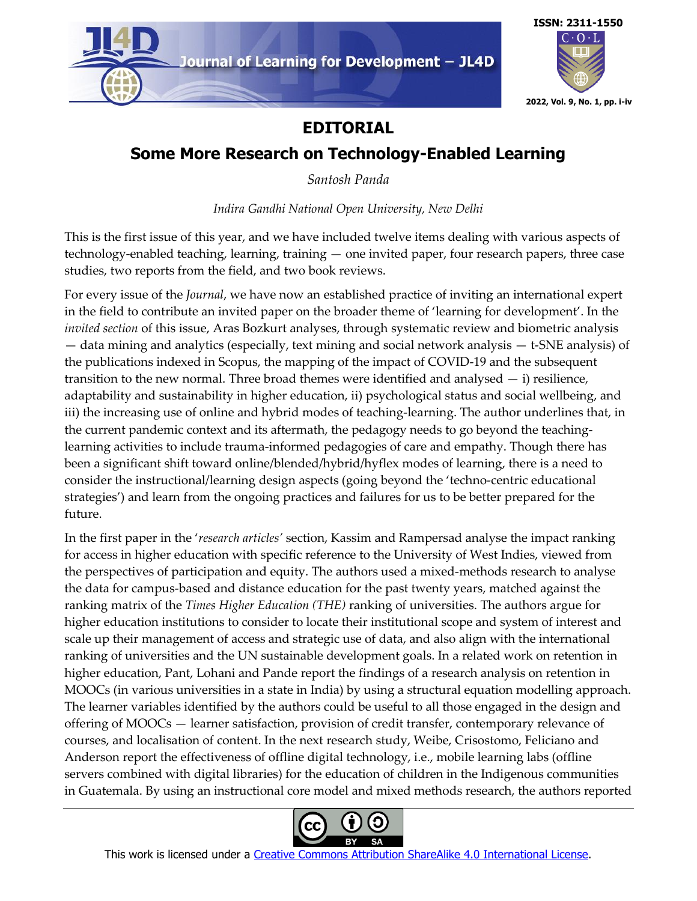



## **EDITORIAL**

## **Some More Research on Technology-Enabled Learning**

*Santosh Panda*

*Indira Gandhi National Open University, New Delhi*

This is the first issue of this year, and we have included twelve items dealing with various aspects of technology-enabled teaching, learning, training — one invited paper, four research papers, three case studies, two reports from the field, and two book reviews.

For every issue of the *Journal*, we have now an established practice of inviting an international expert in the field to contribute an invited paper on the broader theme of 'learning for development'. In the *invited section* of this issue, Aras Bozkurt analyses, through systematic review and biometric analysis — data mining and analytics (especially, text mining and social network analysis — t-SNE analysis) of the publications indexed in Scopus, the mapping of the impact of COVID-19 and the subsequent transition to the new normal. Three broad themes were identified and analysed  $-$  i) resilience, adaptability and sustainability in higher education, ii) psychological status and social wellbeing, and iii) the increasing use of online and hybrid modes of teaching-learning. The author underlines that, in the current pandemic context and its aftermath, the pedagogy needs to go beyond the teachinglearning activities to include trauma-informed pedagogies of care and empathy. Though there has been a significant shift toward online/blended/hybrid/hyflex modes of learning, there is a need to consider the instructional/learning design aspects (going beyond the 'techno-centric educational strategies') and learn from the ongoing practices and failures for us to be better prepared for the future.

In the first paper in the '*research articles'* section, Kassim and Rampersad analyse the impact ranking for access in higher education with specific reference to the University of West Indies, viewed from the perspectives of participation and equity. The authors used a mixed-methods research to analyse the data for campus-based and distance education for the past twenty years, matched against the ranking matrix of the *Times Higher Education (THE)* ranking of universities. The authors argue for higher education institutions to consider to locate their institutional scope and system of interest and scale up their management of access and strategic use of data, and also align with the international ranking of universities and the UN sustainable development goals. In a related work on retention in higher education, Pant, Lohani and Pande report the findings of a research analysis on retention in MOOCs (in various universities in a state in India) by using a structural equation modelling approach. The learner variables identified by the authors could be useful to all those engaged in the design and offering of MOOCs — learner satisfaction, provision of credit transfer, contemporary relevance of courses, and localisation of content. In the next research study, Weibe, Crisostomo, Feliciano and Anderson report the effectiveness of offline digital technology, i.e., mobile learning labs (offline servers combined with digital libraries) for the education of children in the Indigenous communities in Guatemala. By using an instructional core model and mixed methods research, the authors reported

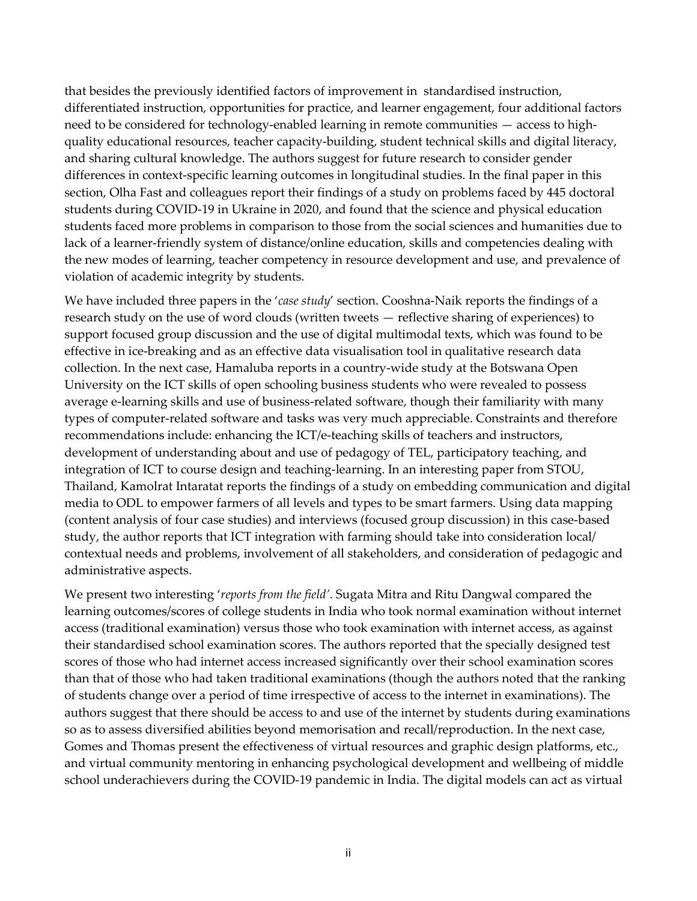that besides the previously identified factors of improvement in standardised instruction, differentiated instruction, opportunities for practice, and learner engagement, four additional factors need to be considered for technology-enabled learning in remote communities — access to highquality educational resources, teacher capacity-building, student technical skills and digital literacy, and sharing cultural knowledge. The authors suggest for future research to consider gender differences in context-specific learning outcomes in longitudinal studies. In the final paper in this section, Olha Fast and colleagues report their findings of a study on problems faced by 445 doctoral students during COVID-19 in Ukraine in 2020, and found that the science and physical education students faced more problems in comparison to those from the social sciences and humanities due to lack of a learner-friendly system of distance/online education, skills and competencies dealing with the new modes of learning, teacher competency in resource development and use, and prevalence of violation of academic integrity by students.

We have included three papers in the '*case study*' section. Cooshna-Naik reports the findings of a research study on the use of word clouds (written tweets — reflective sharing of experiences) to support focused group discussion and the use of digital multimodal texts, which was found to be effective in ice-breaking and as an effective data visualisation tool in qualitative research data collection. In the next case, Hamaluba reports in a country-wide study at the Botswana Open University on the ICT skills of open schooling business students who were revealed to possess average e-learning skills and use of business-related software, though their familiarity with many types of computer-related software and tasks was very much appreciable. Constraints and therefore recommendations include: enhancing the ICT/e-teaching skills of teachers and instructors, development of understanding about and use of pedagogy of TEL, participatory teaching, and integration of ICT to course design and teaching-learning. In an interesting paper from STOU, Thailand, Kamolrat Intaratat reports the findings of a study on embedding communication and digital media to ODL to empower farmers of all levels and types to be smart farmers. Using data mapping (content analysis of four case studies) and interviews (focused group discussion) in this case-based study, the author reports that ICT integration with farming should take into consideration local/ contextual needs and problems, involvement of all stakeholders, and consideration of pedagogic and administrative aspects.

We present two interesting '*reports from the field'*. Sugata Mitra and Ritu Dangwal compared the learning outcomes/scores of college students in India who took normal examination without internet access (traditional examination) versus those who took examination with internet access, as against their standardised school examination scores. The authors reported that the specially designed test scores of those who had internet access increased significantly over their school examination scores than that of those who had taken traditional examinations (though the authors noted that the ranking of students change over a period of time irrespective of access to the internet in examinations). The authors suggest that there should be access to and use of the internet by students during examinations so as to assess diversified abilities beyond memorisation and recall/reproduction. In the next case, Gomes and Thomas present the effectiveness of virtual resources and graphic design platforms, etc., and virtual community mentoring in enhancing psychological development and wellbeing of middle school underachievers during the COVID-19 pandemic in India. The digital models can act as virtual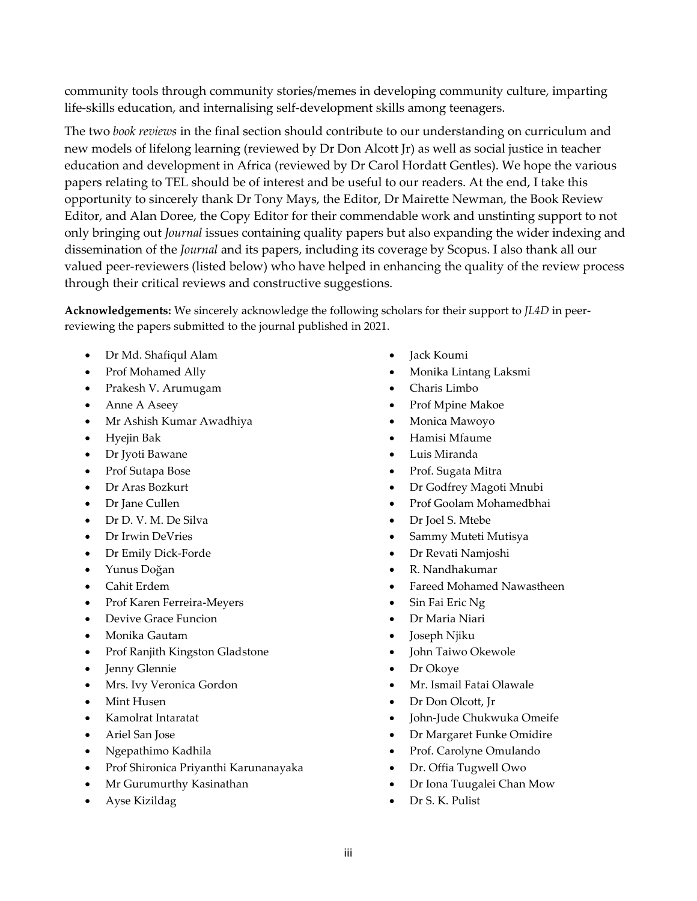community tools through community stories/memes in developing community culture, imparting life-skills education, and internalising self-development skills among teenagers.

The two *book reviews* in the final section should contribute to our understanding on curriculum and new models of lifelong learning (reviewed by Dr Don Alcott Jr) as well as social justice in teacher education and development in Africa (reviewed by Dr Carol Hordatt Gentles). We hope the various papers relating to TEL should be of interest and be useful to our readers. At the end, I take this opportunity to sincerely thank Dr Tony Mays, the Editor, Dr Mairette Newman, the Book Review Editor, and Alan Doree, the Copy Editor for their commendable work and unstinting support to not only bringing out *Journal* issues containing quality papers but also expanding the wider indexing and dissemination of the *Journal* and its papers, including its coverage by Scopus. I also thank all our valued peer-reviewers (listed below) who have helped in enhancing the quality of the review process through their critical reviews and constructive suggestions.

**Acknowledgements:** We sincerely acknowledge the following scholars for their support to *JL4D* in peerreviewing the papers submitted to the journal published in 2021.

- Dr Md. Shafiqul Alam
- Prof Mohamed Ally
- Prakesh V. Arumugam
- Anne A Aseey
- Mr Ashish Kumar Awadhiya
- Hyejin Bak
- Dr Jyoti Bawane
- Prof Sutapa Bose
- Dr Aras Bozkurt
- Dr Jane Cullen
- Dr D. V. M. De Silva
- Dr Irwin DeVries
- Dr Emily Dick-Forde
- Yunus Doğan
- Cahit Erdem
- Prof Karen Ferreira-Meyers
- Devive Grace Funcion
- Monika Gautam
- Prof Ranjith Kingston Gladstone
- Jenny Glennie
- Mrs. Ivy Veronica Gordon
- Mint Husen
- Kamolrat Intaratat
- Ariel San Jose
- Ngepathimo Kadhila
- Prof Shironica Priyanthi Karunanayaka
- Mr Gurumurthy Kasinathan
- Ayse Kizildag
- Jack Koumi
- Monika Lintang Laksmi
- Charis Limbo
- Prof Mpine Makoe
- Monica Mawoyo
- Hamisi Mfaume
- Luis Miranda
- Prof. Sugata Mitra
- Dr Godfrey Magoti Mnubi
- Prof Goolam Mohamedbhai
- Dr Joel S. Mtebe
- Sammy Muteti Mutisya
- Dr Revati Namjoshi
- R. Nandhakumar
- Fareed Mohamed Nawastheen
- Sin Fai Eric Ng
- Dr Maria Niari
- Joseph Njiku
- John Taiwo Okewole
- Dr Okoye
- Mr. Ismail Fatai Olawale
- Dr Don Olcott, Jr
- John-Jude Chukwuka Omeife
- Dr Margaret Funke Omidire
- Prof. Carolyne Omulando
- Dr. Offia Tugwell Owo
- Dr Iona Tuugalei Chan Mow
- Dr S. K. Pulist